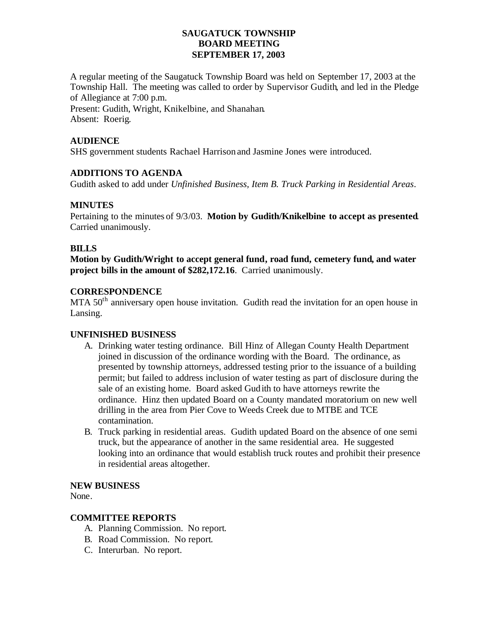## **SAUGATUCK TOWNSHIP BOARD MEETING SEPTEMBER 17, 2003**

A regular meeting of the Saugatuck Township Board was held on September 17, 2003 at the Township Hall. The meeting was called to order by Supervisor Gudith, and led in the Pledge of Allegiance at 7:00 p.m.

Present: Gudith, Wright, Knikelbine, and Shanahan. Absent: Roerig.

## **AUDIENCE**

SHS government students Rachael Harrison and Jasmine Jones were introduced.

## **ADDITIONS TO AGENDA**

Gudith asked to add under *Unfinished Business, Item B. Truck Parking in Residential Areas*.

## **MINUTES**

Pertaining to the minutes of 9/3/03. **Motion by Gudith/Knikelbine to accept as presented**. Carried unanimously.

## **BILLS**

**Motion by Gudith/Wright to accept general fund, road fund, cemetery fund, and water project bills in the amount of \$282,172.16**. Carried unanimously.

## **CORRESPONDENCE**

MTA  $50<sup>th</sup>$  anniversary open house invitation. Gudith read the invitation for an open house in Lansing.

#### **UNFINISHED BUSINESS**

- A. Drinking water testing ordinance. Bill Hinz of Allegan County Health Department joined in discussion of the ordinance wording with the Board. The ordinance, as presented by township attorneys, addressed testing prior to the issuance of a building permit; but failed to address inclusion of water testing as part of disclosure during the sale of an existing home. Board asked Gudith to have attorneys rewrite the ordinance. Hinz then updated Board on a County mandated moratorium on new well drilling in the area from Pier Cove to Weeds Creek due to MTBE and TCE contamination.
- B. Truck parking in residential areas. Gudith updated Board on the absence of one semi truck, but the appearance of another in the same residential area. He suggested looking into an ordinance that would establish truck routes and prohibit their presence in residential areas altogether.

#### **NEW BUSINESS**

None.

## **COMMITTEE REPORTS**

- A. Planning Commission. No report.
- B. Road Commission. No report.
- C. Interurban. No report.